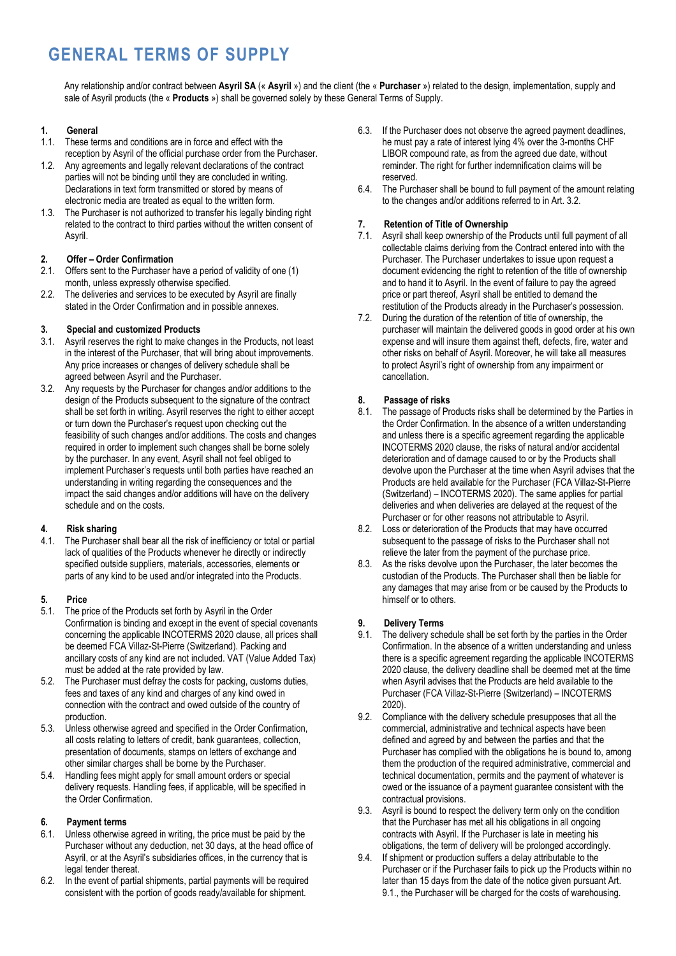# **GENERAL TERMS OF SUPPLY**

Any relationship and/or contract between **Asyril SA** (« **Asyril** ») and the client (the « **Purchaser** ») related to the design, implementation, supply and sale of Asyril products (the « **Products** ») shall be governed solely by these General Terms of Supply.

## **1. General**

- 1.1. These terms and conditions are in force and effect with the reception by Asyril of the official purchase order from the Purchaser.
- 1.2. Any agreements and legally relevant declarations of the contract parties will not be binding until they are concluded in writing. Declarations in text form transmitted or stored by means of electronic media are treated as equal to the written form.
- 1.3. The Purchaser is not authorized to transfer his legally binding right related to the contract to third parties without the written consent of Asyril.

## **2. Offer – Order Confirmation**

- 2.1. Offers sent to the Purchaser have a period of validity of one (1) month, unless expressly otherwise specified.
- 2.2. The deliveries and services to be executed by Asyril are finally stated in the Order Confirmation and in possible annexes.

## **3. Special and customized Products**

- 3.1. Asyril reserves the right to make changes in the Products, not least in the interest of the Purchaser, that will bring about improvements. Any price increases or changes of delivery schedule shall be agreed between Asyril and the Purchaser.
- 3.2. Any requests by the Purchaser for changes and/or additions to the design of the Products subsequent to the signature of the contract shall be set forth in writing. Asyril reserves the right to either accept or turn down the Purchaser's request upon checking out the feasibility of such changes and/or additions. The costs and changes required in order to implement such changes shall be borne solely by the purchaser. In any event, Asyril shall not feel obliged to implement Purchaser's requests until both parties have reached an understanding in writing regarding the consequences and the impact the said changes and/or additions will have on the delivery schedule and on the costs.

## **4. Risk sharing**

4.1. The Purchaser shall bear all the risk of inefficiency or total or partial lack of qualities of the Products whenever he directly or indirectly specified outside suppliers, materials, accessories, elements or parts of any kind to be used and/or integrated into the Products.

## **5. Price**

- 5.1. The price of the Products set forth by Asyril in the Order Confirmation is binding and except in the event of special covenants concerning the applicable INCOTERMS 2020 clause, all prices shall be deemed FCA Villaz-St-Pierre (Switzerland). Packing and ancillary costs of any kind are not included. VAT (Value Added Tax) must be added at the rate provided by law.
- 5.2. The Purchaser must defray the costs for packing, customs duties, fees and taxes of any kind and charges of any kind owed in connection with the contract and owed outside of the country of production.
- 5.3. Unless otherwise agreed and specified in the Order Confirmation, all costs relating to letters of credit, bank guarantees, collection, presentation of documents, stamps on letters of exchange and other similar charges shall be borne by the Purchaser.
- 5.4. Handling fees might apply for small amount orders or special delivery requests. Handling fees, if applicable, will be specified in the Order Confirmation.

## **6. Payment terms**

- 6.1. Unless otherwise agreed in writing, the price must be paid by the Purchaser without any deduction, net 30 days, at the head office of Asyril, or at the Asyril's subsidiaries offices, in the currency that is legal tender thereat.
- 6.2. In the event of partial shipments, partial payments will be required consistent with the portion of goods ready/available for shipment.
- 6.3. If the Purchaser does not observe the agreed payment deadlines, he must pay a rate of interest lying 4% over the 3-months CHF LIBOR compound rate, as from the agreed due date, without reminder. The right for further indemnification claims will be reserved.
- 6.4. The Purchaser shall be bound to full payment of the amount relating to the changes and/or additions referred to in Art. 3.2.

# **7. Retention of Title of Ownership**

- 7.1. Asyril shall keep ownership of the Products until full payment of all collectable claims deriving from the Contract entered into with the Purchaser. The Purchaser undertakes to issue upon request a document evidencing the right to retention of the title of ownership and to hand it to Asyril. In the event of failure to pay the agreed price or part thereof, Asyril shall be entitled to demand the restitution of the Products already in the Purchaser's possession.
- 7.2. During the duration of the retention of title of ownership, the purchaser will maintain the delivered goods in good order at his own expense and will insure them against theft, defects, fire, water and other risks on behalf of Asyril. Moreover, he will take all measures to protect Asyril's right of ownership from any impairment or cancellation.

# **8. Passage of risks**

- 8.1. The passage of Products risks shall be determined by the Parties in the Order Confirmation. In the absence of a written understanding and unless there is a specific agreement regarding the applicable INCOTERMS 2020 clause, the risks of natural and/or accidental deterioration and of damage caused to or by the Products shall devolve upon the Purchaser at the time when Asyril advises that the Products are held available for the Purchaser (FCA Villaz-St-Pierre (Switzerland) – INCOTERMS 2020). The same applies for partial deliveries and when deliveries are delayed at the request of the Purchaser or for other reasons not attributable to Asyril.
- 8.2. Loss or deterioration of the Products that may have occurred subsequent to the passage of risks to the Purchaser shall not relieve the later from the payment of the purchase price.
- 8.3. As the risks devolve upon the Purchaser, the later becomes the custodian of the Products. The Purchaser shall then be liable for any damages that may arise from or be caused by the Products to himself or to others.

## **9. Delivery Terms**

- 9.1. The delivery schedule shall be set forth by the parties in the Order Confirmation. In the absence of a written understanding and unless there is a specific agreement regarding the applicable INCOTERMS 2020 clause, the delivery deadline shall be deemed met at the time when Asyril advises that the Products are held available to the Purchaser (FCA Villaz-St-Pierre (Switzerland) – INCOTERMS 2020).
- 9.2. Compliance with the delivery schedule presupposes that all the commercial, administrative and technical aspects have been defined and agreed by and between the parties and that the Purchaser has complied with the obligations he is bound to, among them the production of the required administrative, commercial and technical documentation, permits and the payment of whatever is owed or the issuance of a payment guarantee consistent with the contractual provisions.
- 9.3. Asyril is bound to respect the delivery term only on the condition that the Purchaser has met all his obligations in all ongoing contracts with Asyril. If the Purchaser is late in meeting his obligations, the term of delivery will be prolonged accordingly.
- 9.4. If shipment or production suffers a delay attributable to the Purchaser or if the Purchaser fails to pick up the Products within no later than 15 days from the date of the notice given pursuant Art. 9.1., the Purchaser will be charged for the costs of warehousing.